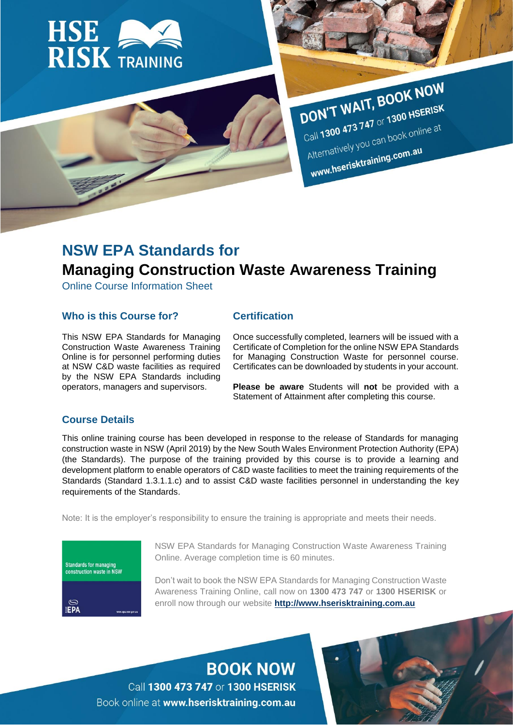

# DON'T WAIT, BOOK NOW DON'T WAIT, BOOM

Call 1300 473 747 or 1300 112<br>Alternatively you can book online at Alternatively you can be a

# **NSW EPA Standards for Managing Construction Waste Awareness Training**

Online Course Information Sheet

# **Who is this Course for?**

# **Certification**

This NSW EPA Standards for Managing Construction Waste Awareness Training Online is for personnel performing duties at NSW C&D waste facilities as required by the NSW EPA Standards including operators, managers and supervisors.

Once successfully completed, learners will be issued with a Certificate of Completion for the online NSW EPA Standards for Managing Construction Waste for personnel course. Certificates can be downloaded by students in your account.

**Please be aware** Students will **not** be provided with a Statement of Attainment after completing this course.

# **Course Details**

This online training course has been developed in response to the release of Standards for managing construction waste in NSW (April 2019) by the New South Wales Environment Protection Authority (EPA) (the Standards). The purpose of the training provided by this course is to provide a learning and development platform to enable operators of C&D waste facilities to meet the training requirements of the Standards (Standard 1.3.1.1.c) and to assist C&D waste facilities personnel in understanding the key requirements of the Standards.

Note: It is the employer's responsibility to ensure the training is appropriate and meets their needs.



NSW EPA Standards for Managing Construction Waste Awareness Training Online. Average completion time is 60 minutes.

Don't wait to book the NSW EPA Standards for Managing Construction Waste Awareness Training Online, call now on **1300 473 747** or **1300 HSERISK** or enroll now through our website **[http://www.hserisktraining.com.au](http://www.hserisktraining.com.au/)**

**BOOK NOW** Call 1300 473 747 or 1300 HSERISK Book online at www.hserisktraining.com.au